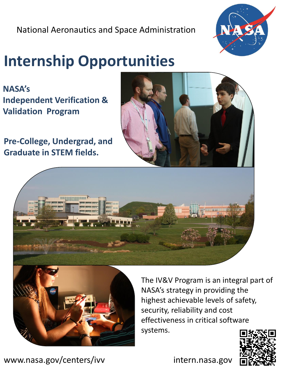National Aeronautics and Space Administration



# **Internship Opportunities**

**NASA's Independent Verification & Validation Program** 

**Pre-College, Undergrad, and Graduate in STEM fields.**







The IV&V Program is an integral part of NASA's strategy in providing the highest achievable levels of safety, security, reliability and cost effectiveness in critical software systems.



www.nasa.gov/centers/ivv intern.nasa.gov